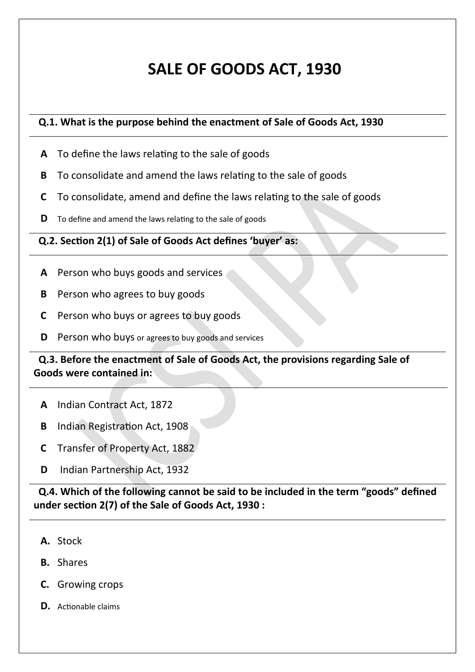# **SALE OF GOODS ACT, 1930**

#### **Q.1. What is the purpose behind the enactment of Sale of Goods Act, 1930**

- **A** To define the laws relating to the sale of goods
- **B** To consolidate and amend the laws relating to the sale of goods
- **C** To consolidate, amend and define the laws relating to the sale of goods
- **D** To define and amend the laws relating to the sale of goods

#### **Q.2. Secton 2(1) of Sale of Goods Act defnes 'buyer' as:**

- **A** Person who buys goods and services
- **B** Person who agrees to buy goods
- **C** Person who buys or agrees to buy goods
- **D** Person who buys or agrees to buy goods and services

 **Q.3. Before the enactment of Sale of Goods Act, the provisions regarding Sale of Goods were contained in:**

- **A** Indian Contract Act, 1872
- **B** Indian Registration Act, 1908
- **C** Transfer of Property Act, 1882
- **D** Indian Partnership Act, 1932

 **Q.4. Which of the following cannot be said to be included in the term "goods" defned under secton 2(7) of the Sale of Goods Act, 1930 :**

- **A.** Stock
- **B.** Shares
- **C.** Growing crops
- **D.** Actionable claims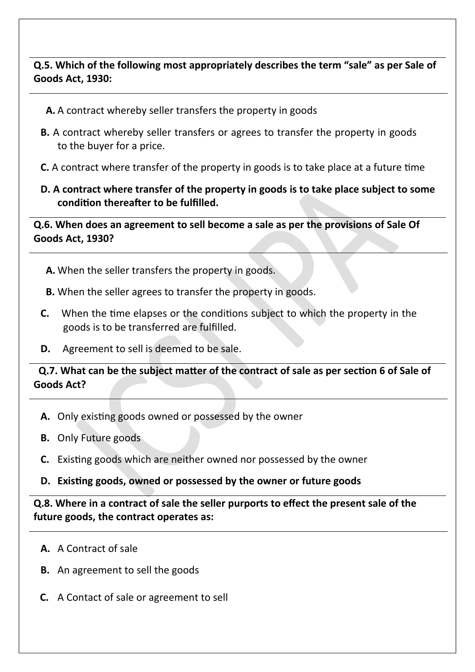**Q.5. Which of the following most appropriately describes the term "sale" as per Sale of Goods Act, 1930:**

- **A.** A contract whereby seller transfers the property in goods
- **B.** A contract whereby seller transfers or agrees to transfer the property in goods to the buyer for a price.

**C.** A contract where transfer of the property in goods is to take place at a future time

**D. A contract where transfer of the property in goods is to take place subject to some conditon thereater to be fulflled.**

**Q.6. When does an agreement to sell become a sale as per the provisions of Sale Of Goods Act, 1930?** 

- **A.** When the seller transfers the property in goods.
- **B.** When the seller agrees to transfer the property in goods.
- **C.** When the time elapses or the conditions subject to which the property in the goods is to be transferred are fulfilled.
- **D.** Agreement to sell is deemed to be sale.

 **Q.7. What can be the subject mater of the contract of sale as per secton 6 of Sale of Goods Act?**

- **A.** Only existing goods owned or possessed by the owner
- **B.** Only Future goods
- **C.** Existing goods which are neither owned nor possessed by the owner
- **D. Existng goods, owned or possessed by the owner or future goods**

**Q.8. Where in a contract of sale the seller purports to efect the present sale of the future goods, the contract operates as:**

- A. A Contract of sale
- **B.** An agreement to sell the goods
- **C.** A Contact of sale or agreement to sell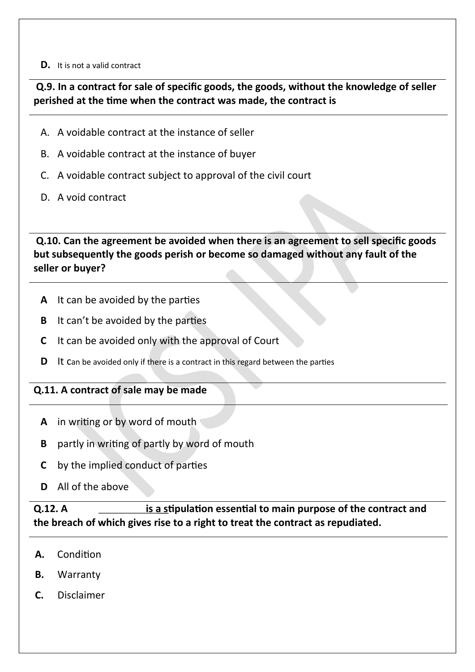**D.** It is not a valid contract

**Q.9. In a contract for sale of specifc goods, the goods, without the knowledge of seller perished at the tme when the contract was made, the contract is**

- A. A voidable contract at the instance of seller
- B. A voidable contract at the instance of buyer
- C. A voidable contract subject to approval of the civil court
- D. A void contract

**Q.10. Can the agreement be avoided when there is an agreement to sell specifc goods but subsequently the goods perish or become so damaged without any fault of the seller or buyer?**

- **A** It can be avoided by the parties
- **B** It can't be avoided by the parties
- **C** It can be avoided only with the approval of Court
- **D** It can be avoided only if there is a contract in this regard between the parties

#### **Q.11. A contract of sale may be made**

- **A** in writing or by word of mouth
- **B** partly in writing of partly by word of mouth
- **C** by the implied conduct of parties
- **D** All of the above

**Q.12. A** is a stipulation essential to main purpose of the contract and **the breach of which gives rise to a right to treat the contract as repudiated.** 

- A. Condition
- **B.** Warranty
- **C.** Disclaimer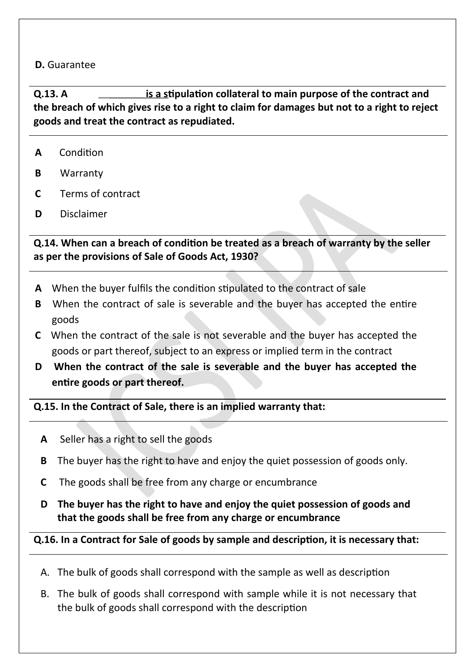#### **D.** Guarantee

### **Q.13. A** is a stipulation collateral to main purpose of the contract and **the breach of which gives rise to a right to claim for damages but not to a right to reject goods and treat the contract as repudiated.**

- **A Condition**
- **B** Warranty
- **C** Terms of contract
- **D** Disclaimer

**Q.14. When can a breach of conditon be treated as a breach of warranty by the seller as per the provisions of Sale of Goods Act, 1930?** 

- A When the buyer fulfils the condition stipulated to the contract of sale
- **B** When the contract of sale is severable and the buyer has accepted the entire goods
- **C** When the contract of the sale is not severable and the buyer has accepted the goods or part thereof, subject to an express or implied term in the contract
- **D When the contract of the sale is severable and the buyer has accepted the entre goods or part thereof.**

#### **Q.15. In the Contract of Sale, there is an implied warranty that:**

- **A** Seller has a right to sell the goods
- **B** The buyer has the right to have and enjoy the quiet possession of goods only.
- **C** The goods shall be free from any charge or encumbrance
- **D The buyer has the right to have and enjoy the quiet possession of goods and that the goods shall be free from any charge or encumbrance**

#### **Q.16. In a Contract for Sale of goods by sample and descripton, it is necessary that:**

- A. The bulk of goods shall correspond with the sample as well as description
- B. The bulk of goods shall correspond with sample while it is not necessary that the bulk of goods shall correspond with the description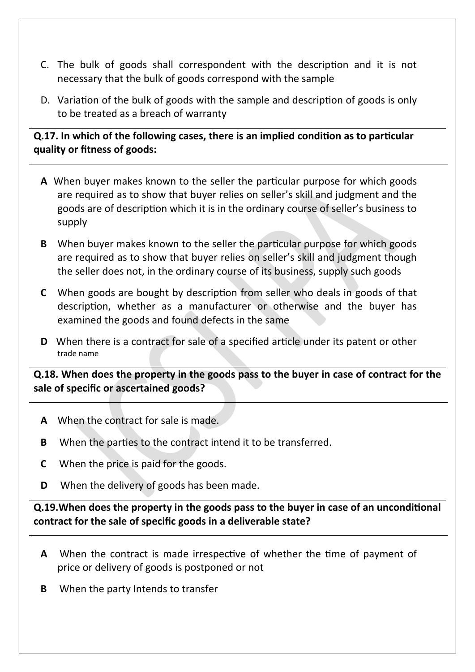- C. The bulk of goods shall correspondent with the description and it is not necessary that the bulk of goods correspond with the sample
- D. Variation of the bulk of goods with the sample and description of goods is only to be treated as a breach of warranty

Q.17. In which of the following cases, there is an implied condition as to particular quality or fitness of goods:

- A When buyer makes known to the seller the particular purpose for which goods are required as to show that buyer relies on seller's skill and judgment and the goods are of description which it is in the ordinary course of seller's business to supply
- **B** When buyer makes known to the seller the particular purpose for which goods are required as to show that buyer relies on seller's skill and judgment though the seller does not, in the ordinary course of its business, supply such goods
- C When goods are bought by description from seller who deals in goods of that description, whether as a manufacturer or otherwise and the buyer has examined the goods and found defects in the same
- **D** When there is a contract for sale of a specified article under its patent or other trade name

Q.18. When does the property in the goods pass to the buyer in case of contract for the sale of specific or ascertained goods?

- A When the contract for sale is made.
- When the parties to the contract intend it to be transferred. B.
- $\mathsf{C}$ When the price is paid for the goods.
- D When the delivery of goods has been made.

Q.19. When does the property in the goods pass to the buyer in case of an unconditional contract for the sale of specific goods in a deliverable state?

- $\mathbf{A}$ When the contract is made irrespective of whether the time of payment of price or delivery of goods is postponed or not
- When the party Intends to transfer B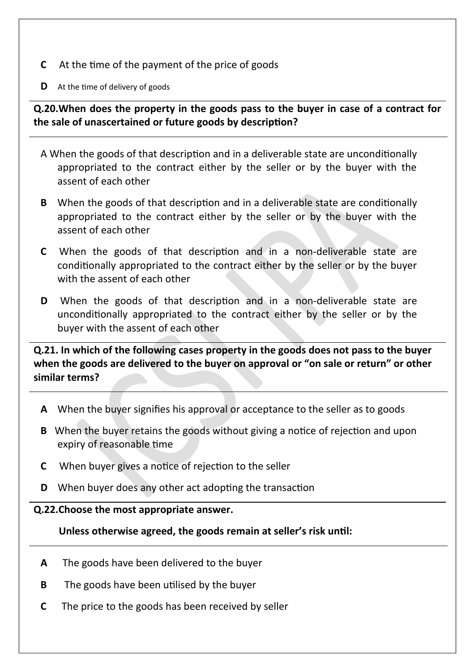- C At the time of the payment of the price of goods
- **D** At the time of delivery of goods

Q.20. When does the property in the goods pass to the buyer in case of a contract for the sale of unascertained or future goods by description?

- A When the goods of that description and in a deliverable state are unconditionally appropriated to the contract either by the seller or by the buyer with the assent of each other
- **B** When the goods of that description and in a deliverable state are conditionally appropriated to the contract either by the seller or by the buyer with the assent of each other
- C When the goods of that description and in a non-deliverable state are conditionally appropriated to the contract either by the seller or by the buyer with the assent of each other
- D When the goods of that description and in a non-deliverable state are unconditionally appropriated to the contract either by the seller or by the buver with the assent of each other

Q.21. In which of the following cases property in the goods does not pass to the buyer when the goods are delivered to the buyer on approval or "on sale or return" or other similar terms?

- A When the buyer signifies his approval or acceptance to the seller as to goods
- **B** When the buyer retains the goods without giving a notice of rejection and upon expiry of reasonable time
- **C** When buyer gives a notice of rejection to the seller
- **D** When buyer does any other act adopting the transaction

#### Q.22. Choose the most appropriate answer.

Unless otherwise agreed, the goods remain at seller's risk until:

- $\mathsf{A}$ The goods have been delivered to the buyer
- B The goods have been utilised by the buyer
- $\mathsf{C}$ The price to the goods has been received by seller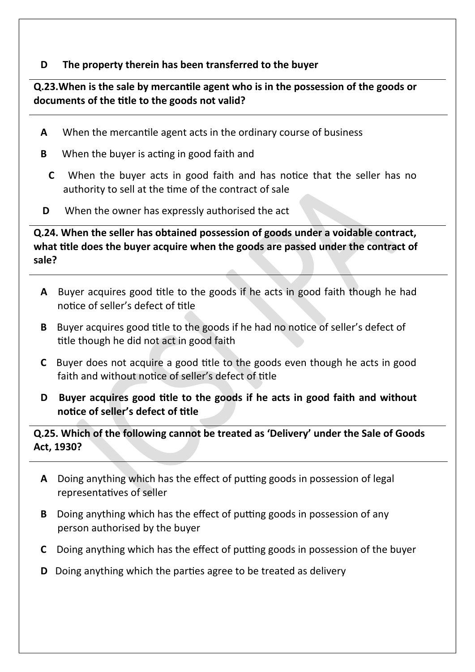#### The property therein has been transferred to the buyer D

#### Q.23. When is the sale by mercantile agent who is in the possession of the goods or documents of the title to the goods not valid?

- When the mercantile agent acts in the ordinary course of business  $\mathbf{A}$
- $\mathbf{B}$ When the buyer is acting in good faith and
	- C When the buyer acts in good faith and has notice that the seller has no authority to sell at the time of the contract of sale
- When the owner has expressly authorised the act D

Q.24. When the seller has obtained possession of goods under a voidable contract, what title does the buyer acquire when the goods are passed under the contract of sale?

- A Buyer acquires good title to the goods if he acts in good faith though he had notice of seller's defect of title
- B Buyer acquires good title to the goods if he had no notice of seller's defect of title though he did not act in good faith
- **C** Buyer does not acquire a good title to the goods even though he acts in good faith and without notice of seller's defect of title
- D Buyer acquires good title to the goods if he acts in good faith and without notice of seller's defect of title

Q.25. Which of the following cannot be treated as 'Delivery' under the Sale of Goods Act, 1930?

- A Doing anything which has the effect of putting goods in possession of legal representatives of seller
- **B** Doing anything which has the effect of putting goods in possession of any person authorised by the buyer
- C Doing anything which has the effect of putting goods in possession of the buyer
- **D** Doing anything which the parties agree to be treated as delivery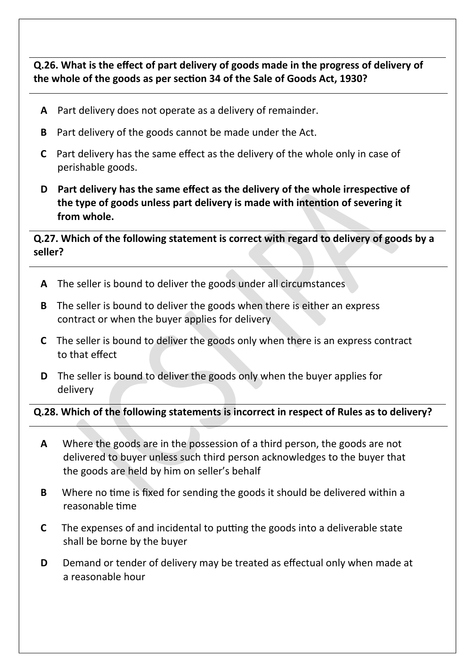Q.26. What is the effect of part delivery of goods made in the progress of delivery of the whole of the goods as per section 34 of the Sale of Goods Act, 1930?

- A Part delivery does not operate as a delivery of remainder.
- **B** Part delivery of the goods cannot be made under the Act.
- C Part delivery has the same effect as the delivery of the whole only in case of perishable goods.
- D Part delivery has the same effect as the delivery of the whole irrespective of the type of goods unless part delivery is made with intention of severing it from whole.

Q.27. Which of the following statement is correct with regard to delivery of goods by a seller?

- A The seller is bound to deliver the goods under all circumstances
- **B** The seller is bound to deliver the goods when there is either an express contract or when the buyer applies for delivery
- C The seller is bound to deliver the goods only when there is an express contract to that effect
- **D** The seller is bound to deliver the goods only when the buyer applies for delivery

#### Q.28. Which of the following statements is incorrect in respect of Rules as to delivery?

- $\mathsf{A}$ Where the goods are in the possession of a third person, the goods are not delivered to buyer unless such third person acknowledges to the buyer that the goods are held by him on seller's behalf
- B Where no time is fixed for sending the goods it should be delivered within a reasonable time
- $\mathsf{C}$ The expenses of and incidental to putting the goods into a deliverable state shall be borne by the buyer
- D Demand or tender of delivery may be treated as effectual only when made at a reasonable hour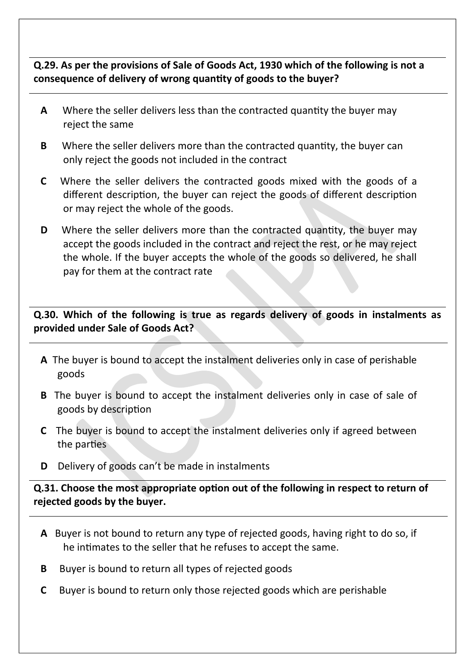#### **Q.29. As per the provisions of Sale of Goods Act, 1930 which of the following is not a consequence of delivery of wrong quantty of goods to the buyer?**

- **A** Where the seller delivers less than the contracted quantity the buyer may reject the same
- **B** Where the seller delivers more than the contracted quantity, the buyer can only reject the goods not included in the contract
- **C** Where the seller delivers the contracted goods mixed with the goods of a different description, the buyer can reject the goods of different description or may reject the whole of the goods.
- **D** Where the seller delivers more than the contracted quantity, the buyer may accept the goods included in the contract and reject the rest, or he may reject the whole. If the buyer accepts the whole of the goods so delivered, he shall pay for them at the contract rate

#### **Q.30. Which of the following is true as regards delivery of goods in instalments as provided under Sale of Goods Act?**

- A The buyer is bound to accept the instalment deliveries only in case of perishable goods
- **B** The buyer is bound to accept the instalment deliveries only in case of sale of goods by description
- **C** The buyer is bound to accept the instalment deliveries only if agreed between the parties
- **D** Delivery of goods can't be made in instalments

**Q.31. Choose the most appropriate option out of the following in respect to return of rejected goods by the buyer.** 

- A Buyer is not bound to return any type of rejected goods, having right to do so, if he intimates to the seller that he refuses to accept the same.
- **B** Buyer is bound to return all types of rejected goods
- **C** Buyer is bound to return only those rejected goods which are perishable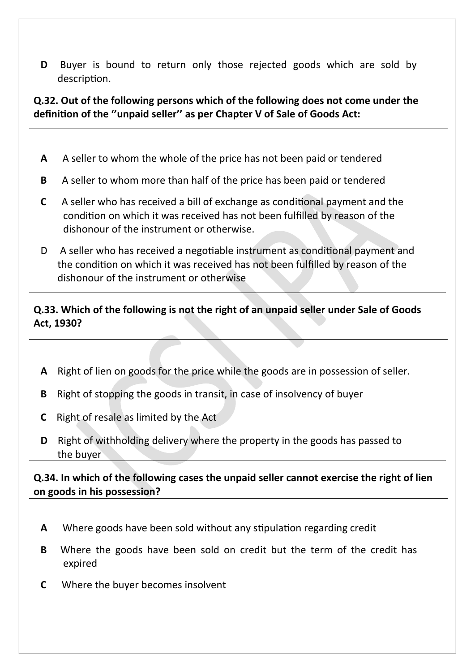**D** Buyer is bound to return only those rejected goods which are sold by description.

**Q.32. Out of the following persons which of the following does not come under the defniton of the ''unpaid seller'' as per Chapter ぃ of Sale of Goods Act:**

- A A seller to whom the whole of the price has not been paid or tendered
- **B** A seller to whom more than half of the price has been paid or tendered
- **C** A seller who has received a bill of exchange as conditional payment and the condition on which it was received has not been fulfilled by reason of the dishonour of the instrument or otherwise.
- D A seller who has received a negotiable instrument as conditional payment and the condition on which it was received has not been fulfilled by reason of the dishonour of the instrument or otherwise

#### **Q.33. Which of the following is not the right of an unpaid seller under Sale of Goods Act, 1930?**

- A Right of lien on goods for the price while the goods are in possession of seller.
- **B** Right of stopping the goods in transit, in case of insolvency of buyer
- **C** Right of resale as limited by the Act
- **D** Right of withholding delivery where the property in the goods has passed to the buver

#### **Q.34. In which of the following cases the unpaid seller cannot exercise the right of lien on goods in his possession?**

- **A** Where goods have been sold without any stipulation regarding credit
- **B** Where the goods have been sold on credit but the term of the credit has expired
- **C** Where the buyer becomes insolvent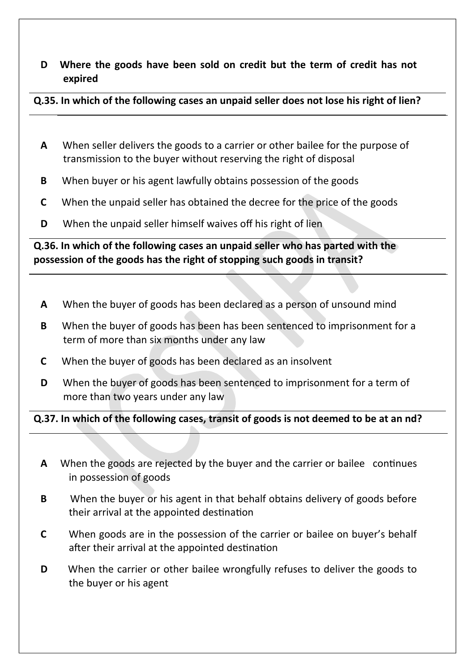#### D Where the goods have been sold on credit but the term of credit has not expired

#### Q.35. In which of the following cases an unpaid seller does not lose his right of lien?

- When seller delivers the goods to a carrier or other bailee for the purpose of  $\mathbf{A}$ transmission to the buyer without reserving the right of disposal
- When buyer or his agent lawfully obtains possession of the goods B
- $\mathsf{C}$ When the unpaid seller has obtained the decree for the price of the goods
- When the unpaid seller himself waives off his right of lien D

Q.36. In which of the following cases an unpaid seller who has parted with the possession of the goods has the right of stopping such goods in transit?

- When the buyer of goods has been declared as a person of unsound mind  $\mathbf{A}$
- B When the buyer of goods has been has been sentenced to imprisonment for a term of more than six months under any law
- $\mathsf{C}$ When the buyer of goods has been declared as an insolvent
- D When the buyer of goods has been sentenced to imprisonment for a term of more than two years under any law

#### Q.37. In which of the following cases, transit of goods is not deemed to be at an nd?

- $\mathsf{A}$ When the goods are rejected by the buyer and the carrier or bailee continues in possession of goods
- When the buyer or his agent in that behalf obtains delivery of goods before B their arrival at the appointed destination
- $\mathsf{C}$ When goods are in the possession of the carrier or bailee on buyer's behalf after their arrival at the appointed destination
- When the carrier or other bailee wrongfully refuses to deliver the goods to D the buyer or his agent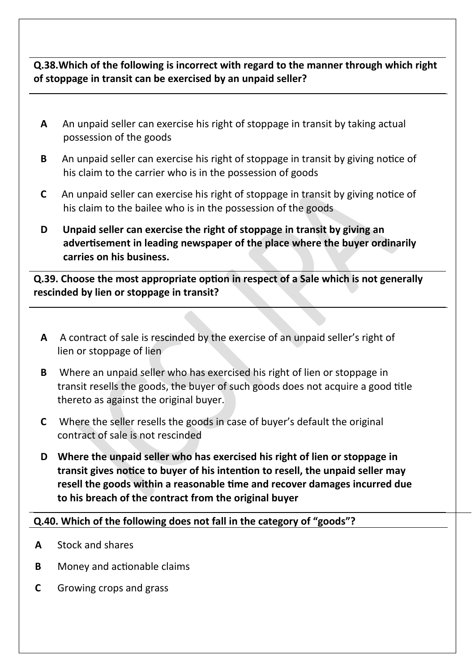**Q.38.Which of the following is incorrect with regard to the manner through which right of stoppage in transit can be exercised by an unpaid seller?**

- **A** An unpaid seller can exercise his right of stoppage in transit by taking actual possession of the goods
- **B** An unpaid seller can exercise his right of stoppage in transit by giving notice of his claim to the carrier who is in the possession of goods
- **C** An unpaid seller can exercise his right of stoppage in transit by giving notice of his claim to the bailee who is in the possession of the goods
- **D Unpaid seller can exercise the right of stoppage in transit by giving an advertsement in leading newspaper of the place where the buyer ordinarily carries on his business.**

**Q.39. Choose the most appropriate opton in respect of a Sale which is not generally rescinded by lien or stoppage in transit?**

- A A contract of sale is rescinded by the exercise of an unpaid seller's right of lien or stoppage of lien
- **B** Where an unpaid seller who has exercised his right of lien or stoppage in transit resells the goods, the buyer of such goods does not acquire a good title thereto as against the original buyer.
- **C** Where the seller resells the goods in case of buyer's default the original contract of sale is not rescinded
- **D Where the unpaid seller who has exercised his right of lien or stoppage in**  transit gives notice to buyer of his intention to resell, the unpaid seller may **resell the goods within a reasonable tme and recover damages incurred due to his breach of the contract from the original buyer**

#### **Q.40. Which of the following does not fall in the category of "goods"?**

- **A** Stock and shares
- **B** Money and actionable claims
- **C** Growing crops and grass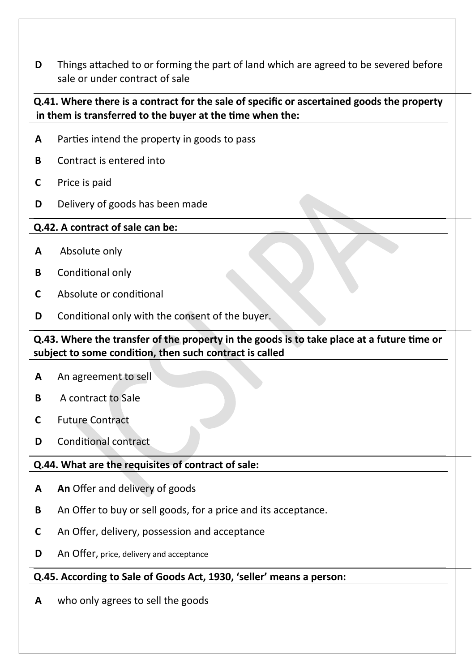Things attached to or forming the part of land which are agreed to be severed before D sale or under contract of sale

#### Q.41. Where there is a contract for the sale of specific or ascertained goods the property in them is transferred to the buyer at the time when the:

- Parties intend the property in goods to pass  $\mathbf{A}$
- B Contract is entered into
- $\mathsf{C}$ Price is paid
- Delivery of goods has been made D

#### Q.42. A contract of sale can be:

- $\Delta$ Absolute only
- Conditional only B
- $\mathsf{C}$ Absolute or conditional
- Conditional only with the consent of the buyer. D

#### Q.43. Where the transfer of the property in the goods is to take place at a future time or subject to some condition, then such contract is called

- An agreement to sell  $\mathbf{A}$
- A contract to Sale  $\mathbf{B}$
- **Future Contract**  $\mathsf{C}$
- Conditional contract D

#### Q.44. What are the requisites of contract of sale:

- An Offer and delivery of goods  $\mathbf{A}$
- B An Offer to buy or sell goods, for a price and its acceptance.
- $\mathsf{C}$ An Offer, delivery, possession and acceptance
- D An Offer, price, delivery and acceptance

#### Q.45. According to Sale of Goods Act, 1930, 'seller' means a person:

 $\mathbf{A}$ who only agrees to sell the goods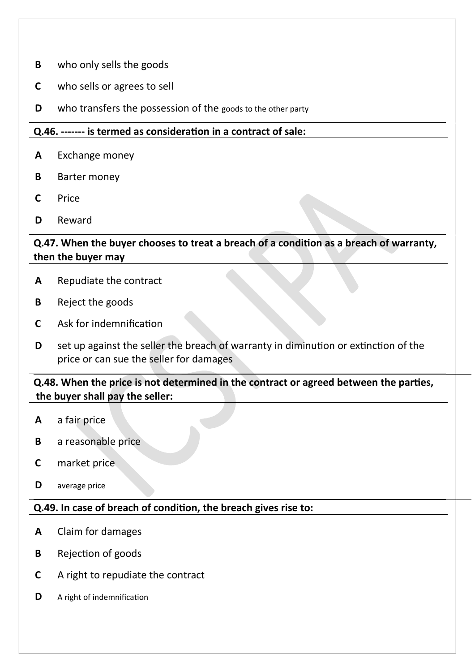- who only sells the goods B
- who sells or agrees to sell  $\mathbf C$
- D who transfers the possession of the goods to the other party

#### Q.46. ------- is termed as consideration in a contract of sale:

- $\mathbf{A}$ Exchange money
- Barter money B
- $\mathsf{C}$ Price
- D Reward

### Q.47. When the buyer chooses to treat a breach of a condition as a breach of warranty, then the buyer may

- Repudiate the contract  $\mathbf{A}$
- Reject the goods  $\mathbf{B}$
- $\mathsf{C}$ Ask for indemnification
- set up against the seller the breach of warranty in diminution or extinction of the D price or can sue the seller for damages

#### Q.48. When the price is not determined in the contract or agreed between the parties, the buyer shall pay the seller:

- $\mathsf{A}$ a fair price
- a reasonable price B
- $\mathsf{C}$ market price
- D average price

#### Q.49. In case of breach of condition, the breach gives rise to:

- A Claim for damages
- B Rejection of goods
- $\mathsf{C}$ A right to repudiate the contract
- D A right of indemnification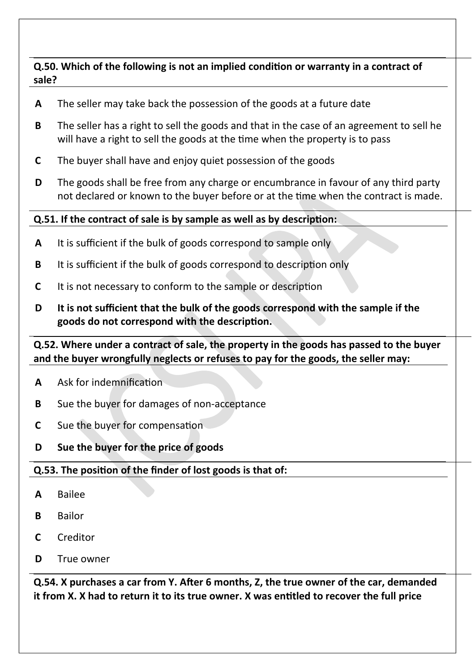#### Q.50. Which of the following is not an implied condition or warranty in a contract of sale?

- $\Delta$ The seller may take back the possession of the goods at a future date
- B The seller has a right to sell the goods and that in the case of an agreement to sell he will have a right to sell the goods at the time when the property is to pass
- $\mathsf{C}$ The buyer shall have and enjoy quiet possession of the goods
- D The goods shall be free from any charge or encumbrance in favour of any third party not declared or known to the buyer before or at the time when the contract is made.

#### Q.51. If the contract of sale is by sample as well as by description:

- $\mathbf{A}$ It is sufficient if the bulk of goods correspond to sample only
- It is sufficient if the bulk of goods correspond to description only B.
- It is not necessary to conform to the sample or description  $\mathsf{C}$
- D It is not sufficient that the bulk of the goods correspond with the sample if the goods do not correspond with the description.

Q.52. Where under a contract of sale, the property in the goods has passed to the buyer and the buyer wrongfully neglects or refuses to pay for the goods, the seller may:

- Ask for indemnification  $\mathbf{A}$
- B Sue the buyer for damages of non-acceptance
- $\mathsf{C}$ Sue the buyer for compensation
- Sue the buyer for the price of goods D

#### Q.53. The position of the finder of lost goods is that of:

- $\mathbf{A}$ **Bailee**
- **Bailor** B
- $\mathsf{C}$ Creditor
- D True owner

Q.54. X purchases a car from Y. After 6 months, Z, the true owner of the car, demanded it from X. X had to return it to its true owner. X was entitled to recover the full price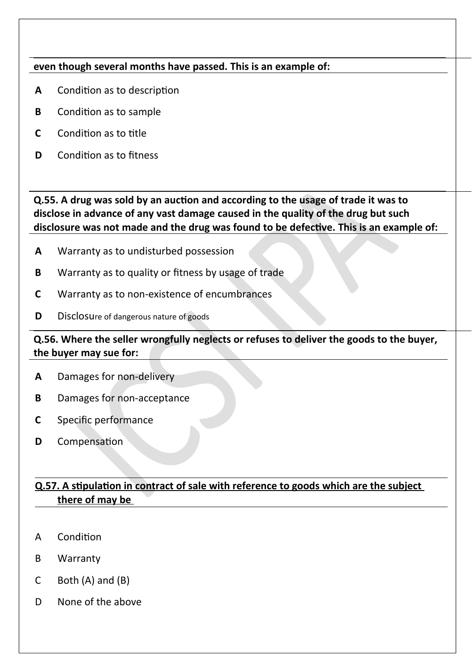even though several months have passed. This is an example of:

- Condition as to description  $\mathbf{A}$
- B. Condition as to sample
- $\mathsf{C}$ Condition as to title
- Condition as to fitness D.

Q.55. A drug was sold by an auction and according to the usage of trade it was to disclose in advance of any vast damage caused in the quality of the drug but such disclosure was not made and the drug was found to be defective. This is an example of:

- $\Delta$ Warranty as to undisturbed possession
- Warranty as to quality or fitness by usage of trade B
- $\mathsf{C}$ Warranty as to non-existence of encumbrances
- D Disclosure of dangerous nature of goods

#### Q.56. Where the seller wrongfully neglects or refuses to deliver the goods to the buyer, the buyer may sue for:

- $\mathbf{A}$ Damages for non-delivery
- Damages for non-acceptance B
- $\mathsf{C}$ Specific performance
- D Compensation

#### Q.57. A stipulation in contract of sale with reference to goods which are the subject there of may be

- Condition  $\mathsf{A}$
- B Warranty
- $\mathsf{C}$ Both  $(A)$  and  $(B)$
- D None of the above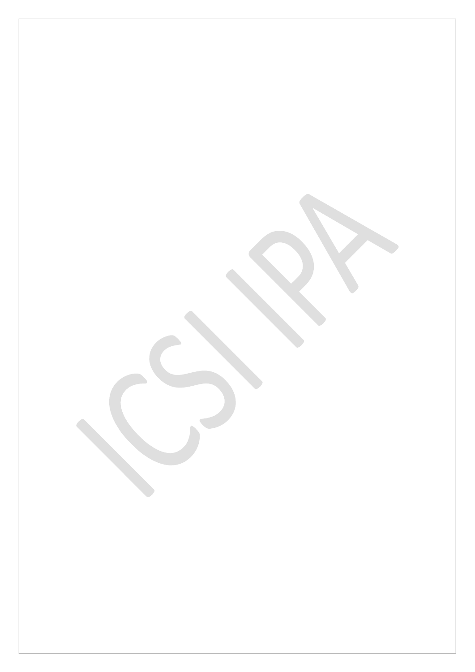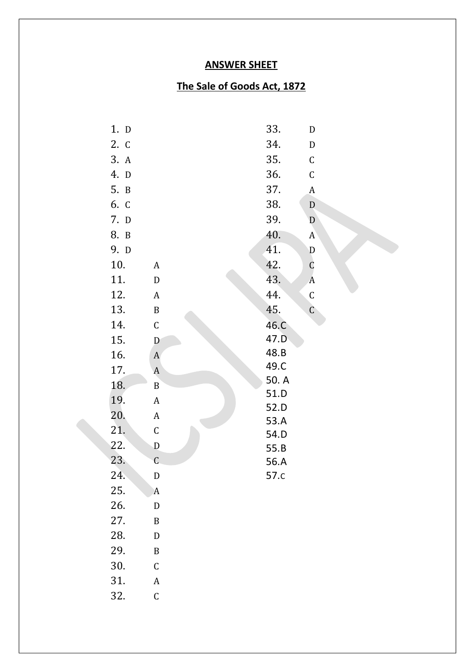#### **ANSWER SHEET**

## **The Sale of Goods Act, 1872**

|                  |  | 33.  | ${\bf D}$                                                     |                             |
|------------------|--|------|---------------------------------------------------------------|-----------------------------|
|                  |  | 34.  | ${\rm D}$                                                     |                             |
|                  |  | 35.  | $\mathsf C$                                                   |                             |
|                  |  | 36.  | $\mathsf C$                                                   |                             |
|                  |  | 37.  | A                                                             |                             |
|                  |  | 38.  | $\overline{\mathsf{D}}$                                       |                             |
|                  |  | 39.  |                                                               |                             |
|                  |  | 40.  | $\mathbf{A}$                                                  |                             |
|                  |  | 41.  | $\mathbf D$                                                   |                             |
| $\boldsymbol{A}$ |  | 42.  |                                                               |                             |
| ${\rm D}$        |  | 43.  | $\overline{A}$                                                |                             |
| $\boldsymbol{A}$ |  | 44.  | $\mathsf C$                                                   |                             |
| $\, {\bf B}$     |  | 45.  | $\mathsf C$                                                   |                             |
| $\mathsf C$      |  | 46.C |                                                               |                             |
| ${\bf D}$        |  | 47.  |                                                               |                             |
| $\boldsymbol{A}$ |  | 48.B |                                                               |                             |
| A                |  |      |                                                               |                             |
| $\, {\bf B}$     |  |      |                                                               |                             |
| $\boldsymbol{A}$ |  |      |                                                               |                             |
| A                |  |      |                                                               |                             |
| $\mathsf C$      |  |      |                                                               |                             |
| ${\bf D}$        |  |      |                                                               |                             |
| $\mathsf C$      |  |      |                                                               |                             |
| ${\bf D}$        |  | 57.c |                                                               |                             |
| A                |  |      |                                                               |                             |
| D                |  |      |                                                               |                             |
| $\boldsymbol{B}$ |  |      |                                                               |                             |
| $\mathbf D$      |  |      |                                                               |                             |
| $\, {\bf B}$     |  |      |                                                               |                             |
| $\mathsf C$      |  |      |                                                               |                             |
| $\boldsymbol{A}$ |  |      |                                                               |                             |
| $\mathsf C$      |  |      |                                                               |                             |
|                  |  |      | 49.C<br>50. A<br>51.D<br>52.D<br>53.A<br>54.D<br>55.B<br>56.A | $\mathbf{D}$<br>$\mathsf C$ |